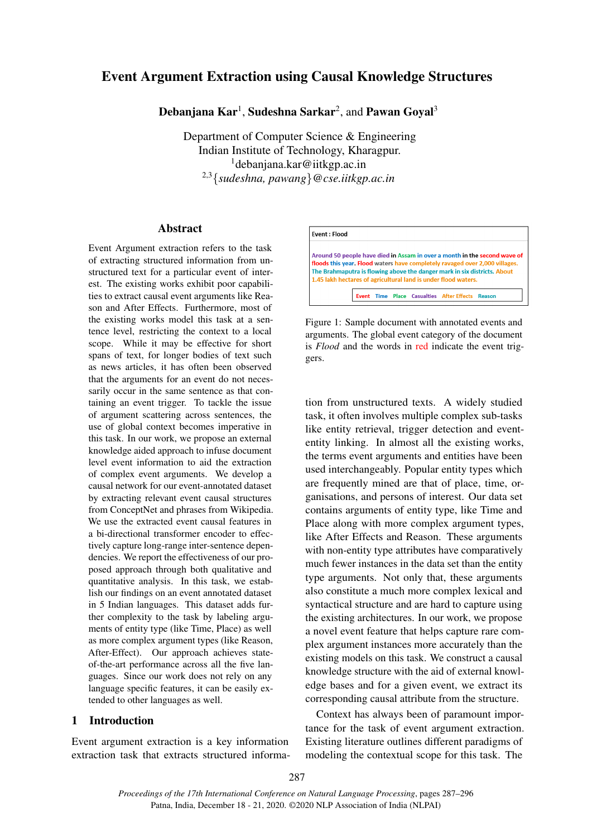# Event Argument Extraction using Causal Knowledge Structures

 ${\bf Deb}$ anjana  ${\bf Kar}^1,$  Sudeshna Sarkar $^2,$  and  ${\bf P}$ awan Goyal $^3$ 

Department of Computer Science & Engineering Indian Institute of Technology, Kharagpur.  $1$ debanjana.kar@iitkgp.ac.in 2,3{*sudeshna, pawang*}*@cse.iitkgp.ac.in*

### Abstract

Event Argument extraction refers to the task of extracting structured information from unstructured text for a particular event of interest. The existing works exhibit poor capabilities to extract causal event arguments like Reason and After Effects. Furthermore, most of the existing works model this task at a sentence level, restricting the context to a local scope. While it may be effective for short spans of text, for longer bodies of text such as news articles, it has often been observed that the arguments for an event do not necessarily occur in the same sentence as that containing an event trigger. To tackle the issue of argument scattering across sentences, the use of global context becomes imperative in this task. In our work, we propose an external knowledge aided approach to infuse document level event information to aid the extraction of complex event arguments. We develop a causal network for our event-annotated dataset by extracting relevant event causal structures from ConceptNet and phrases from Wikipedia. We use the extracted event causal features in a bi-directional transformer encoder to effectively capture long-range inter-sentence dependencies. We report the effectiveness of our proposed approach through both qualitative and quantitative analysis. In this task, we establish our findings on an event annotated dataset in 5 Indian languages. This dataset adds further complexity to the task by labeling arguments of entity type (like Time, Place) as well as more complex argument types (like Reason, After-Effect). Our approach achieves stateof-the-art performance across all the five languages. Since our work does not rely on any language specific features, it can be easily extended to other languages as well.

## 1 Introduction

Event argument extraction is a key information extraction task that extracts structured informa-

<span id="page-0-0"></span>

Figure 1: Sample document with annotated events and arguments. The global event category of the document is *Flood* and the words in red indicate the event triggers.

tion from unstructured texts. A widely studied task, it often involves multiple complex sub-tasks like entity retrieval, trigger detection and evententity linking. In almost all the existing works, the terms event arguments and entities have been used interchangeably. Popular entity types which are frequently mined are that of place, time, organisations, and persons of interest. Our data set contains arguments of entity type, like Time and Place along with more complex argument types, like After Effects and Reason. These arguments with non-entity type attributes have comparatively much fewer instances in the data set than the entity type arguments. Not only that, these arguments also constitute a much more complex lexical and syntactical structure and are hard to capture using the existing architectures. In our work, we propose a novel event feature that helps capture rare complex argument instances more accurately than the existing models on this task. We construct a causal knowledge structure with the aid of external knowledge bases and for a given event, we extract its corresponding causal attribute from the structure.

Context has always been of paramount importance for the task of event argument extraction. Existing literature outlines different paradigms of modeling the contextual scope for this task. The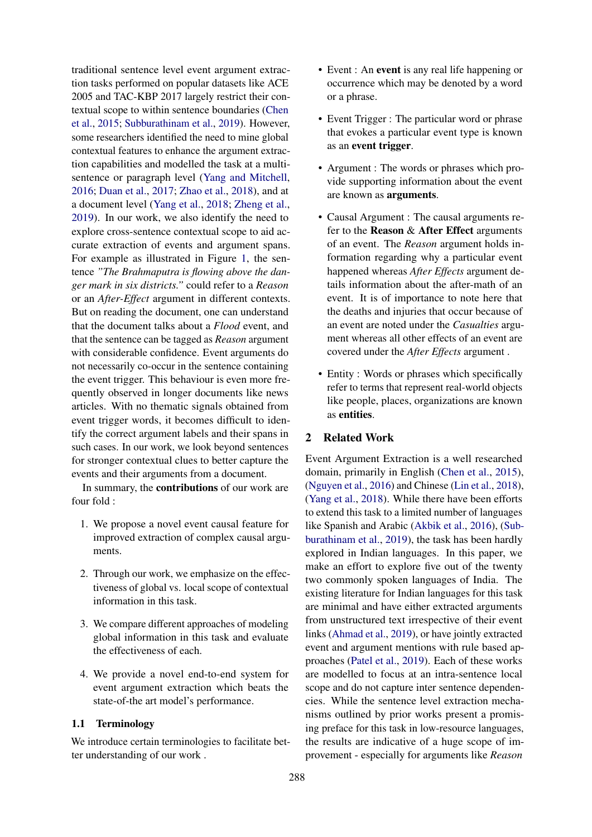traditional sentence level event argument extraction tasks performed on popular datasets like ACE 2005 and TAC-KBP 2017 largely restrict their contextual scope to within sentence boundaries [\(Chen](#page-9-0) [et al.,](#page-9-0) [2015;](#page-9-0) [Subburathinam et al.,](#page-9-1) [2019\)](#page-9-1). However, some researchers identified the need to mine global contextual features to enhance the argument extraction capabilities and modelled the task at a multisentence or paragraph level [\(Yang and Mitchell,](#page-9-2) [2016;](#page-9-2) [Duan et al.,](#page-9-3) [2017;](#page-9-3) [Zhao et al.,](#page-9-4) [2018\)](#page-9-4), and at a document level [\(Yang et al.,](#page-9-5) [2018;](#page-9-5) [Zheng et al.,](#page-9-6) [2019\)](#page-9-6). In our work, we also identify the need to explore cross-sentence contextual scope to aid accurate extraction of events and argument spans. For example as illustrated in Figure [1,](#page-0-0) the sentence *"The Brahmaputra is flowing above the danger mark in six districts."* could refer to a *Reason* or an *After-Effect* argument in different contexts. But on reading the document, one can understand that the document talks about a *Flood* event, and that the sentence can be tagged as *Reason* argument with considerable confidence. Event arguments do not necessarily co-occur in the sentence containing the event trigger. This behaviour is even more frequently observed in longer documents like news articles. With no thematic signals obtained from event trigger words, it becomes difficult to identify the correct argument labels and their spans in such cases. In our work, we look beyond sentences for stronger contextual clues to better capture the events and their arguments from a document.

In summary, the contributions of our work are four fold :

- 1. We propose a novel event causal feature for improved extraction of complex causal arguments.
- 2. Through our work, we emphasize on the effectiveness of global vs. local scope of contextual information in this task.
- 3. We compare different approaches of modeling global information in this task and evaluate the effectiveness of each.
- 4. We provide a novel end-to-end system for event argument extraction which beats the state-of-the art model's performance.

## 1.1 Terminology

We introduce certain terminologies to facilitate better understanding of our work .

- Event : An event is any real life happening or occurrence which may be denoted by a word or a phrase.
- Event Trigger : The particular word or phrase that evokes a particular event type is known as an event trigger.
- Argument : The words or phrases which provide supporting information about the event are known as arguments.
- Causal Argument : The causal arguments refer to the Reason & After Effect arguments of an event. The *Reason* argument holds information regarding why a particular event happened whereas *After Effects* argument details information about the after-math of an event. It is of importance to note here that the deaths and injuries that occur because of an event are noted under the *Casualties* argument whereas all other effects of an event are covered under the *After Effects* argument .
- Entity : Words or phrases which specifically refer to terms that represent real-world objects like people, places, organizations are known as entities.

## 2 Related Work

Event Argument Extraction is a well researched domain, primarily in English [\(Chen et al.,](#page-9-0) [2015\)](#page-9-0), [\(Nguyen et al.,](#page-9-7) [2016\)](#page-9-7) and Chinese [\(Lin et al.,](#page-9-8) [2018\)](#page-9-8), [\(Yang et al.,](#page-9-5) [2018\)](#page-9-5). While there have been efforts to extend this task to a limited number of languages like Spanish and Arabic [\(Akbik et al.,](#page-9-9) [2016\)](#page-9-9), [\(Sub](#page-9-1)[burathinam et al.,](#page-9-1) [2019\)](#page-9-1), the task has been hardly explored in Indian languages. In this paper, we make an effort to explore five out of the twenty two commonly spoken languages of India. The existing literature for Indian languages for this task are minimal and have either extracted arguments from unstructured text irrespective of their event links [\(Ahmad et al.,](#page-9-10) [2019\)](#page-9-10), or have jointly extracted event and argument mentions with rule based approaches [\(Patel et al.,](#page-9-11) [2019\)](#page-9-11). Each of these works are modelled to focus at an intra-sentence local scope and do not capture inter sentence dependencies. While the sentence level extraction mechanisms outlined by prior works present a promising preface for this task in low-resource languages, the results are indicative of a huge scope of improvement - especially for arguments like *Reason*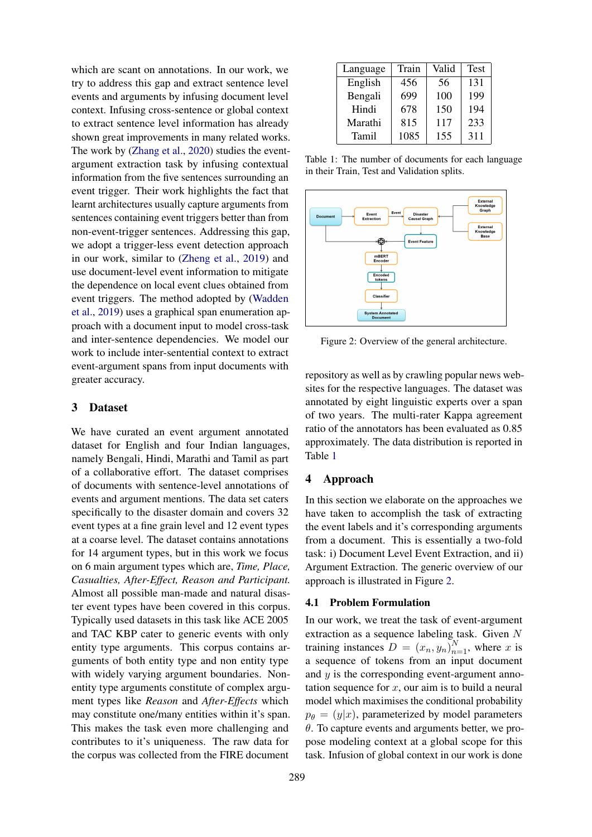which are scant on annotations. In our work, we try to address this gap and extract sentence level events and arguments by infusing document level context. Infusing cross-sentence or global context to extract sentence level information has already shown great improvements in many related works. The work by [\(Zhang et al.,](#page-9-12) [2020\)](#page-9-12) studies the eventargument extraction task by infusing contextual information from the five sentences surrounding an event trigger. Their work highlights the fact that learnt architectures usually capture arguments from sentences containing event triggers better than from non-event-trigger sentences. Addressing this gap, we adopt a trigger-less event detection approach in our work, similar to [\(Zheng et al.,](#page-9-6) [2019\)](#page-9-6) and use document-level event information to mitigate the dependence on local event clues obtained from event triggers. The method adopted by [\(Wadden](#page-9-13) [et al.,](#page-9-13) [2019\)](#page-9-13) uses a graphical span enumeration approach with a document input to model cross-task and inter-sentence dependencies. We model our work to include inter-sentential context to extract event-argument spans from input documents with greater accuracy.

## 3 Dataset

We have curated an event argument annotated dataset for English and four Indian languages, namely Bengali, Hindi, Marathi and Tamil as part of a collaborative effort. The dataset comprises of documents with sentence-level annotations of events and argument mentions. The data set caters specifically to the disaster domain and covers 32 event types at a fine grain level and 12 event types at a coarse level. The dataset contains annotations for 14 argument types, but in this work we focus on 6 main argument types which are, *Time, Place, Casualties, After-Effect, Reason and Participant.* Almost all possible man-made and natural disaster event types have been covered in this corpus. Typically used datasets in this task like ACE 2005 and TAC KBP cater to generic events with only entity type arguments. This corpus contains arguments of both entity type and non entity type with widely varying argument boundaries. Nonentity type arguments constitute of complex argument types like *Reason* and *After-Effects* which may constitute one/many entities within it's span. This makes the task even more challenging and contributes to it's uniqueness. The raw data for the corpus was collected from the FIRE document

<span id="page-2-0"></span>

| Language | Train | Valid | <b>Test</b> |
|----------|-------|-------|-------------|
| English  | 456   | 56    | 131         |
| Bengali  | 699   | 100   | 199         |
| Hindi    | 678   | 150   | 194         |
| Marathi  | 815   | 117   | 233         |
| Tamil    | 1085  | 155   | 311         |

Table 1: The number of documents for each language in their Train, Test and Validation splits.

<span id="page-2-1"></span>

Figure 2: Overview of the general architecture.

repository as well as by crawling popular news websites for the respective languages. The dataset was annotated by eight linguistic experts over a span of two years. The multi-rater Kappa agreement ratio of the annotators has been evaluated as 0.85 approximately. The data distribution is reported in Table [1](#page-2-0)

## <span id="page-2-2"></span>4 Approach

In this section we elaborate on the approaches we have taken to accomplish the task of extracting the event labels and it's corresponding arguments from a document. This is essentially a two-fold task: i) Document Level Event Extraction, and ii) Argument Extraction. The generic overview of our approach is illustrated in Figure [2.](#page-2-1)

### 4.1 Problem Formulation

In our work, we treat the task of event-argument extraction as a sequence labeling task. Given N training instances  $D = (x_n, y_n)_{n=1}^N$ , where x is a sequence of tokens from an input document and  $y$  is the corresponding event-argument annotation sequence for  $x$ , our aim is to build a neural model which maximises the conditional probability  $p_{\theta} = (y|x)$ , parameterized by model parameters  $\theta$ . To capture events and arguments better, we propose modeling context at a global scope for this task. Infusion of global context in our work is done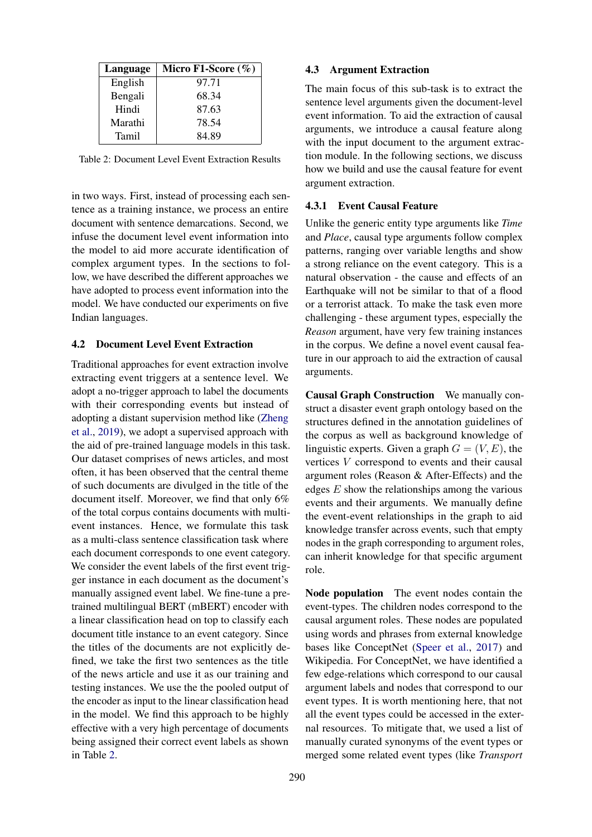<span id="page-3-0"></span>

| Language | Micro F1-Score $(\%)$ |
|----------|-----------------------|
| English  | 97.71                 |
| Bengali  | 68.34                 |
| Hindi    | 87.63                 |
| Marathi  | 78.54                 |
| Tamil    | 84.89                 |

Table 2: Document Level Event Extraction Results

in two ways. First, instead of processing each sentence as a training instance, we process an entire document with sentence demarcations. Second, we infuse the document level event information into the model to aid more accurate identification of complex argument types. In the sections to follow, we have described the different approaches we have adopted to process event information into the model. We have conducted our experiments on five Indian languages.

## 4.2 Document Level Event Extraction

Traditional approaches for event extraction involve extracting event triggers at a sentence level. We adopt a no-trigger approach to label the documents with their corresponding events but instead of adopting a distant supervision method like [\(Zheng](#page-9-6) [et al.,](#page-9-6) [2019\)](#page-9-6), we adopt a supervised approach with the aid of pre-trained language models in this task. Our dataset comprises of news articles, and most often, it has been observed that the central theme of such documents are divulged in the title of the document itself. Moreover, we find that only 6% of the total corpus contains documents with multievent instances. Hence, we formulate this task as a multi-class sentence classification task where each document corresponds to one event category. We consider the event labels of the first event trigger instance in each document as the document's manually assigned event label. We fine-tune a pretrained multilingual BERT (mBERT) encoder with a linear classification head on top to classify each document title instance to an event category. Since the titles of the documents are not explicitly defined, we take the first two sentences as the title of the news article and use it as our training and testing instances. We use the the pooled output of the encoder as input to the linear classification head in the model. We find this approach to be highly effective with a very high percentage of documents being assigned their correct event labels as shown in Table [2.](#page-3-0)

### 4.3 Argument Extraction

The main focus of this sub-task is to extract the sentence level arguments given the document-level event information. To aid the extraction of causal arguments, we introduce a causal feature along with the input document to the argument extraction module. In the following sections, we discuss how we build and use the causal feature for event argument extraction.

#### 4.3.1 Event Causal Feature

Unlike the generic entity type arguments like *Time* and *Place*, causal type arguments follow complex patterns, ranging over variable lengths and show a strong reliance on the event category. This is a natural observation - the cause and effects of an Earthquake will not be similar to that of a flood or a terrorist attack. To make the task even more challenging - these argument types, especially the *Reason* argument, have very few training instances in the corpus. We define a novel event causal feature in our approach to aid the extraction of causal arguments.

Causal Graph Construction We manually construct a disaster event graph ontology based on the structures defined in the annotation guidelines of the corpus as well as background knowledge of linguistic experts. Given a graph  $G = (V, E)$ , the vertices V correspond to events and their causal argument roles (Reason & After-Effects) and the edges  $E$  show the relationships among the various events and their arguments. We manually define the event-event relationships in the graph to aid knowledge transfer across events, such that empty nodes in the graph corresponding to argument roles, can inherit knowledge for that specific argument role.

Node population The event nodes contain the event-types. The children nodes correspond to the causal argument roles. These nodes are populated using words and phrases from external knowledge bases like ConceptNet [\(Speer et al.,](#page-9-14) [2017\)](#page-9-14) and Wikipedia. For ConceptNet, we have identified a few edge-relations which correspond to our causal argument labels and nodes that correspond to our event types. It is worth mentioning here, that not all the event types could be accessed in the external resources. To mitigate that, we used a list of manually curated synonyms of the event types or merged some related event types (like *Transport*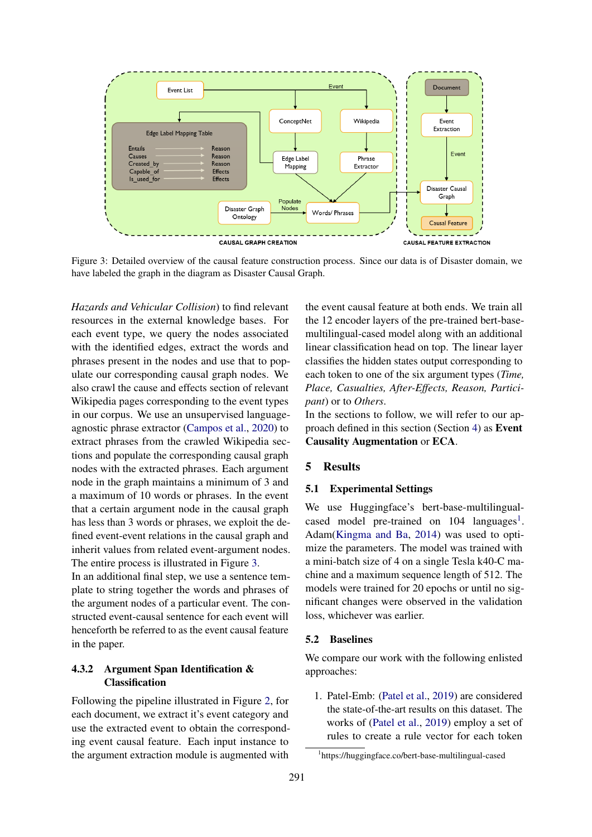<span id="page-4-0"></span>

Figure 3: Detailed overview of the causal feature construction process. Since our data is of Disaster domain, we have labeled the graph in the diagram as Disaster Causal Graph.

*Hazards and Vehicular Collision*) to find relevant resources in the external knowledge bases. For each event type, we query the nodes associated with the identified edges, extract the words and phrases present in the nodes and use that to populate our corresponding causal graph nodes. We also crawl the cause and effects section of relevant Wikipedia pages corresponding to the event types in our corpus. We use an unsupervised languageagnostic phrase extractor [\(Campos et al.,](#page-9-15) [2020\)](#page-9-15) to extract phrases from the crawled Wikipedia sections and populate the corresponding causal graph nodes with the extracted phrases. Each argument node in the graph maintains a minimum of 3 and a maximum of 10 words or phrases. In the event that a certain argument node in the causal graph has less than 3 words or phrases, we exploit the defined event-event relations in the causal graph and inherit values from related event-argument nodes. The entire process is illustrated in Figure [3.](#page-4-0)

In an additional final step, we use a sentence template to string together the words and phrases of the argument nodes of a particular event. The constructed event-causal sentence for each event will henceforth be referred to as the event causal feature in the paper.

## 4.3.2 Argument Span Identification & Classification

Following the pipeline illustrated in Figure [2,](#page-2-1) for each document, we extract it's event category and use the extracted event to obtain the corresponding event causal feature. Each input instance to the argument extraction module is augmented with

the event causal feature at both ends. We train all the 12 encoder layers of the pre-trained bert-basemultilingual-cased model along with an additional linear classification head on top. The linear layer classifies the hidden states output corresponding to each token to one of the six argument types (*Time, Place, Casualties, After-Effects, Reason, Participant*) or to *Others*.

In the sections to follow, we will refer to our approach defined in this section (Section [4\)](#page-2-2) as Event Causality Augmentation or ECA.

## 5 Results

### 5.1 Experimental Settings

We use Huggingface's bert-base-multilingualcased model pre-trained on  $104$  $104$  languages<sup>1</sup>. Adam[\(Kingma and Ba,](#page-9-16) [2014\)](#page-9-16) was used to optimize the parameters. The model was trained with a mini-batch size of 4 on a single Tesla k40-C machine and a maximum sequence length of 512. The models were trained for 20 epochs or until no significant changes were observed in the validation loss, whichever was earlier.

### 5.2 Baselines

We compare our work with the following enlisted approaches:

1. Patel-Emb: [\(Patel et al.,](#page-9-11) [2019\)](#page-9-11) are considered the state-of-the-art results on this dataset. The works of [\(Patel et al.,](#page-9-11) [2019\)](#page-9-11) employ a set of rules to create a rule vector for each token

<span id="page-4-1"></span><sup>1</sup> https://huggingface.co/bert-base-multilingual-cased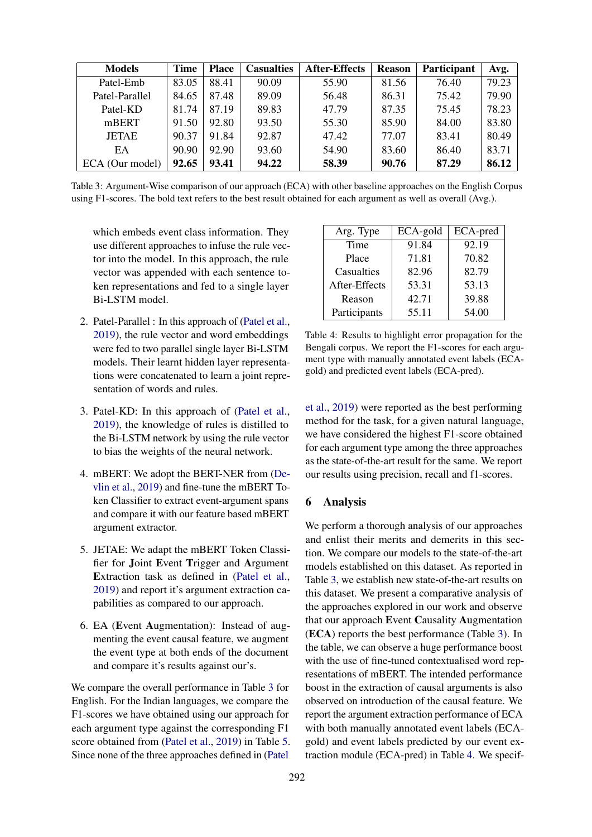<span id="page-5-0"></span>

| <b>Models</b>   | <b>Time</b> | <b>Place</b> | <b>Casualties</b> | <b>After-Effects</b> | <b>Reason</b> | Participant | Avg.  |
|-----------------|-------------|--------------|-------------------|----------------------|---------------|-------------|-------|
| Patel-Emb       | 83.05       | 88.41        | 90.09             | 55.90                | 81.56         | 76.40       | 79.23 |
| Patel-Parallel  | 84.65       | 87.48        | 89.09             | 56.48                | 86.31         | 75.42       | 79.90 |
| Patel-KD        | 81.74       | 87.19        | 89.83             | 47.79                | 87.35         | 75.45       | 78.23 |
| mBERT           | 91.50       | 92.80        | 93.50             | 55.30                | 85.90         | 84.00       | 83.80 |
| <b>JETAE</b>    | 90.37       | 91.84        | 92.87             | 47.42                | 77.07         | 83.41       | 80.49 |
| EA              | 90.90       | 92.90        | 93.60             | 54.90                | 83.60         | 86.40       | 83.71 |
| ECA (Our model) | 92.65       | 93.41        | 94.22             | 58.39                | 90.76         | 87.29       | 86.12 |

Table 3: Argument-Wise comparison of our approach (ECA) with other baseline approaches on the English Corpus using F1-scores. The bold text refers to the best result obtained for each argument as well as overall (Avg.).

which embeds event class information. They use different approaches to infuse the rule vector into the model. In this approach, the rule vector was appended with each sentence token representations and fed to a single layer Bi-LSTM model.

- 2. Patel-Parallel : In this approach of [\(Patel et al.,](#page-9-11) [2019\)](#page-9-11), the rule vector and word embeddings were fed to two parallel single layer Bi-LSTM models. Their learnt hidden layer representations were concatenated to learn a joint representation of words and rules.
- 3. Patel-KD: In this approach of [\(Patel et al.,](#page-9-11) [2019\)](#page-9-11), the knowledge of rules is distilled to the Bi-LSTM network by using the rule vector to bias the weights of the neural network.
- 4. mBERT: We adopt the BERT-NER from [\(De](#page-9-17)[vlin et al.,](#page-9-17) [2019\)](#page-9-17) and fine-tune the mBERT Token Classifier to extract event-argument spans and compare it with our feature based mBERT argument extractor.
- 5. JETAE: We adapt the mBERT Token Classifier for Joint Event Trigger and Argument Extraction task as defined in [\(Patel et al.,](#page-9-11) [2019\)](#page-9-11) and report it's argument extraction capabilities as compared to our approach.
- 6. EA (Event Augmentation): Instead of augmenting the event causal feature, we augment the event type at both ends of the document and compare it's results against our's.

We compare the overall performance in Table [3](#page-5-0) for English. For the Indian languages, we compare the F1-scores we have obtained using our approach for each argument type against the corresponding F1 score obtained from [\(Patel et al.,](#page-9-11) [2019\)](#page-9-11) in Table [5.](#page-6-0) Since none of the three approaches defined in [\(Patel](#page-9-11)

<span id="page-5-1"></span>

| Arg. Type     | ECA-gold | ECA-pred |
|---------------|----------|----------|
| Time          | 91.84    | 92.19    |
| Place         | 71.81    | 70.82    |
| Casualties    | 82.96    | 82.79    |
| After-Effects | 53.31    | 53.13    |
| Reason        | 42.71    | 39.88    |
| Participants  | 55.11    | 54.00    |

Table 4: Results to highlight error propagation for the Bengali corpus. We report the F1-scores for each argument type with manually annotated event labels (ECAgold) and predicted event labels (ECA-pred).

[et al.,](#page-9-11) [2019\)](#page-9-11) were reported as the best performing method for the task, for a given natural language, we have considered the highest F1-score obtained for each argument type among the three approaches as the state-of-the-art result for the same. We report our results using precision, recall and f1-scores.

### 6 Analysis

We perform a thorough analysis of our approaches and enlist their merits and demerits in this section. We compare our models to the state-of-the-art models established on this dataset. As reported in Table [3,](#page-5-0) we establish new state-of-the-art results on this dataset. We present a comparative analysis of the approaches explored in our work and observe that our approach Event Causality Augmentation (ECA) reports the best performance (Table [3\)](#page-5-0). In the table, we can observe a huge performance boost with the use of fine-tuned contextualised word representations of mBERT. The intended performance boost in the extraction of causal arguments is also observed on introduction of the causal feature. We report the argument extraction performance of ECA with both manually annotated event labels (ECAgold) and event labels predicted by our event extraction module (ECA-pred) in Table [4.](#page-5-1) We specif-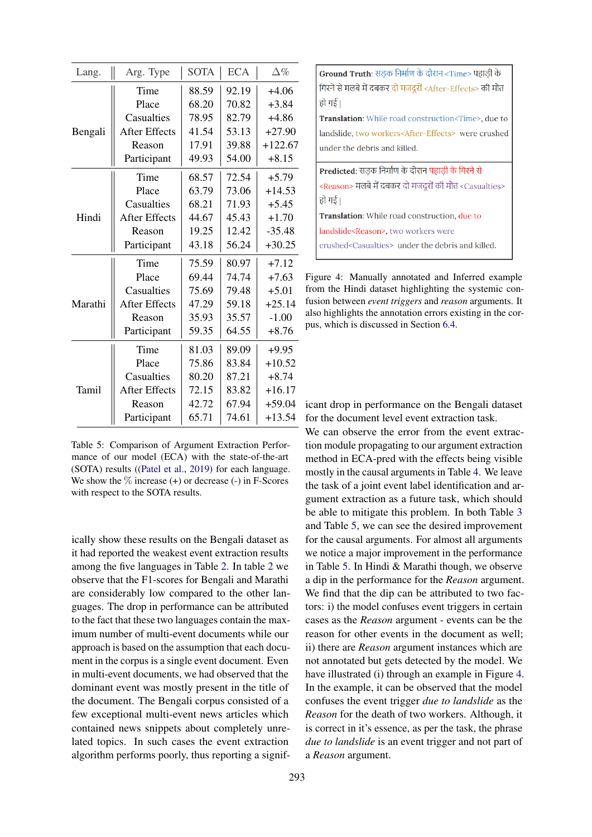<span id="page-6-0"></span>

| Lang.   | Arg. Type            | <b>SOTA</b> | <b>ECA</b> | $\Delta\%$ |
|---------|----------------------|-------------|------------|------------|
|         | Time                 | 88.59       | 92.19      | $+4.06$    |
|         | Place                | 68.20       | 70.82      | $+3.84$    |
|         | Casualties           | 78.95       | 82.79      | $+4.86$    |
| Bengali | <b>After Effects</b> | 41.54       | 53.13      | $+27.90$   |
|         | Reason               | 17.91       | 39.88      | $+122.67$  |
|         | Participant          | 49.93       | 54.00      | $+8.15$    |
|         | Time                 | 68.57       | 72.54      | $+5.79$    |
|         | Place                | 63.79       | 73.06      | $+14.53$   |
|         | Casualties           | 68.21       | 71.93      | $+5.45$    |
| Hindi   | <b>After Effects</b> | 44.67       | 45.43      | $+1.70$    |
|         | Reason               | 19.25       | 12.42      | $-35.48$   |
|         | Participant          | 43.18       | 56.24      | $+30.25$   |
|         | Time                 | 75.59       | 80.97      | $+7.12$    |
|         | Place                | 69.44       | 74.74      | $+7.63$    |
|         | Casualties           | 75.69       | 79.48      | $+5.01$    |
| Marathi | <b>After Effects</b> | 47.29       | 59.18      | $+25.14$   |
|         | Reason               | 35.93       | 35.57      | $-1.00$    |
|         | Participant          | 59.35       | 64.55      | $+8.76$    |
|         | Time                 | 81.03       | 89.09      | $+9.95$    |
|         | Place                | 75.86       | 83.84      | $+10.52$   |
|         | Casualties           | 80.20       | 87.21      | $+8.74$    |
| Tamil   | <b>After Effects</b> | 72.15       | 83.82      | $+16.17$   |
|         | Reason               | 42.72       | 67.94      | $+59.04$   |
|         | Participant          | 65.71       | 74.61      | $+13.54$   |

Table 5: Comparison of Argument Extraction Performance of our model (ECA) with the state-of-the-art (SOTA) results ([\(Patel et al.,](#page-9-11) [2019\)](#page-9-11) for each language. We show the  $\%$  increase (+) or decrease (-) in F-Scores with respect to the SOTA results.

ically show these results on the Bengali dataset as it had reported the weakest event extraction results among the five languages in Table [2.](#page-3-0) In table [2](#page-3-0) we observe that the F1-scores for Bengali and Marathi are considerably low compared to the other languages. The drop in performance can be attributed to the fact that these two languages contain the maximum number of multi-event documents while our approach is based on the assumption that each document in the corpus is a single event document. Even in multi-event documents, we had observed that the dominant event was mostly present in the title of the document. The Bengali corpus consisted of a few exceptional multi-event news articles which contained news snippets about completely unrelated topics. In such cases the event extraction algorithm performs poorly, thus reporting a signif-

<span id="page-6-1"></span>Ground Truth: सड़क निर्माण के दौरान <Time> पहाड़ी के गिरने से मलबे में दबकर दो मजदुरों <After-Effects> की मौत हो गई। Translation: While road construction<Time>, due to landslide, two workers<After-Effects> were crushed under the debris and killed. Predicted: सडक निर्माण के दौरान पहाड़ी के गिरने से <Reason> मलबे में दबकर दो मजदुरों की मौत <Casualties> हो गई। Translation: While road construction, due to landslide<Reason>, two workers were

crushed<Casualties> under the debris and killed.

Figure 4: Manually annotated and Inferred example from the Hindi dataset highlighting the systemic confusion between *event triggers* and *reason* arguments. It also highlights the annotation errors existing in the corpus, which is discussed in Section [6.4.](#page-8-0)

icant drop in performance on the Bengali dataset for the document level event extraction task.

We can observe the error from the event extraction module propagating to our argument extraction method in ECA-pred with the effects being visible mostly in the causal arguments in Table [4.](#page-5-1) We leave the task of a joint event label identification and argument extraction as a future task, which should be able to mitigate this problem. In both Table [3](#page-5-0) and Table [5,](#page-6-0) we can see the desired improvement for the causal arguments. For almost all arguments we notice a major improvement in the performance in Table [5.](#page-6-0) In Hindi & Marathi though, we observe a dip in the performance for the *Reason* argument. We find that the dip can be attributed to two factors: i) the model confuses event triggers in certain cases as the *Reason* argument - events can be the reason for other events in the document as well; ii) there are *Reason* argument instances which are not annotated but gets detected by the model. We have illustrated (i) through an example in Figure [4.](#page-6-1) In the example, it can be observed that the model confuses the event trigger *due to landslide* as the *Reason* for the death of two workers. Although, it is correct in it's essence, as per the task, the phrase *due to landslide* is an event trigger and not part of a *Reason* argument.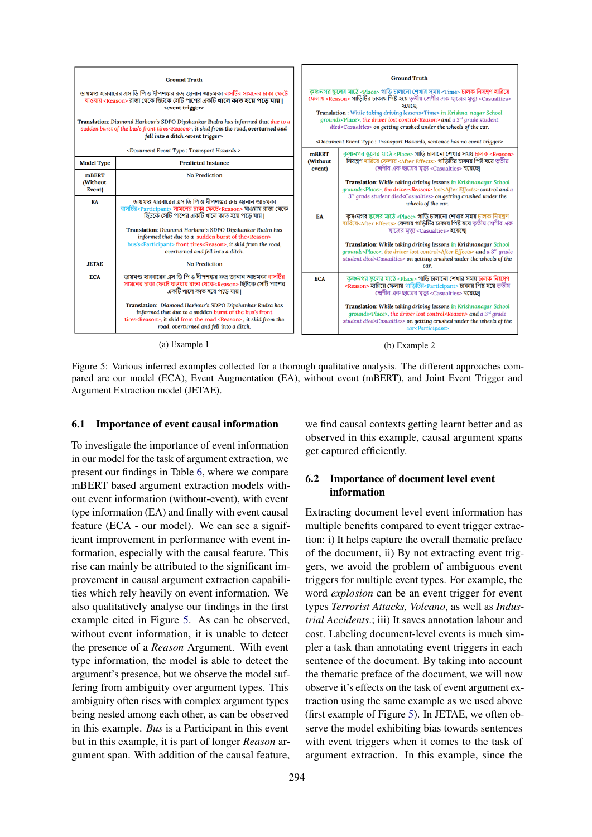<span id="page-7-0"></span>

Figure 5: Various inferred examples collected for a thorough qualitative analysis. The different approaches compared are our model (ECA), Event Augmentation (EA), without event (mBERT), and Joint Event Trigger and Argument Extraction model (JETAE).

#### 6.1 Importance of event causal information

To investigate the importance of event information in our model for the task of argument extraction, we present our findings in Table [6,](#page-8-1) where we compare mBERT based argument extraction models without event information (without-event), with event type information (EA) and finally with event causal feature (ECA - our model). We can see a significant improvement in performance with event information, especially with the causal feature. This rise can mainly be attributed to the significant improvement in causal argument extraction capabilities which rely heavily on event information. We also qualitatively analyse our findings in the first example cited in Figure [5.](#page-7-0) As can be observed, without event information, it is unable to detect the presence of a *Reason* Argument. With event type information, the model is able to detect the argument's presence, but we observe the model suffering from ambiguity over argument types. This ambiguity often rises with complex argument types being nested among each other, as can be observed in this example. *Bus* is a Participant in this event but in this example, it is part of longer *Reason* argument span. With addition of the causal feature,

we find causal contexts getting learnt better and as observed in this example, causal argument spans get captured efficiently.

## 6.2 Importance of document level event information

Extracting document level event information has multiple benefits compared to event trigger extraction: i) It helps capture the overall thematic preface of the document, ii) By not extracting event triggers, we avoid the problem of ambiguous event triggers for multiple event types. For example, the word *explosion* can be an event trigger for event types *Terrorist Attacks, Volcano*, as well as *Industrial Accidents*.; iii) It saves annotation labour and cost. Labeling document-level events is much simpler a task than annotating event triggers in each sentence of the document. By taking into account the thematic preface of the document, we will now observe it's effects on the task of event argument extraction using the same example as we used above (first example of Figure [5\)](#page-7-0). In JETAE, we often observe the model exhibiting bias towards sentences with event triggers when it comes to the task of argument extraction. In this example, since the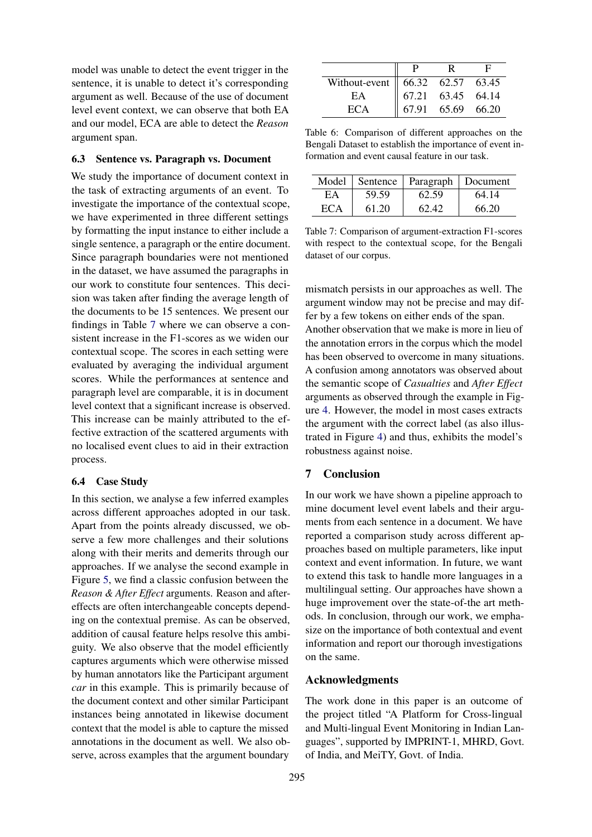model was unable to detect the event trigger in the sentence, it is unable to detect it's corresponding argument as well. Because of the use of document level event context, we can observe that both EA and our model, ECA are able to detect the *Reason* argument span.

### 6.3 Sentence vs. Paragraph vs. Document

We study the importance of document context in the task of extracting arguments of an event. To investigate the importance of the contextual scope, we have experimented in three different settings by formatting the input instance to either include a single sentence, a paragraph or the entire document. Since paragraph boundaries were not mentioned in the dataset, we have assumed the paragraphs in our work to constitute four sentences. This decision was taken after finding the average length of the documents to be 15 sentences. We present our findings in Table [7](#page-8-2) where we can observe a consistent increase in the F1-scores as we widen our contextual scope. The scores in each setting were evaluated by averaging the individual argument scores. While the performances at sentence and paragraph level are comparable, it is in document level context that a significant increase is observed. This increase can be mainly attributed to the effective extraction of the scattered arguments with no localised event clues to aid in their extraction process.

#### <span id="page-8-0"></span>6.4 Case Study

In this section, we analyse a few inferred examples across different approaches adopted in our task. Apart from the points already discussed, we observe a few more challenges and their solutions along with their merits and demerits through our approaches. If we analyse the second example in Figure [5,](#page-7-0) we find a classic confusion between the *Reason & After Effect* arguments. Reason and aftereffects are often interchangeable concepts depending on the contextual premise. As can be observed, addition of causal feature helps resolve this ambiguity. We also observe that the model efficiently captures arguments which were otherwise missed by human annotators like the Participant argument *car* in this example. This is primarily because of the document context and other similar Participant instances being annotated in likewise document context that the model is able to capture the missed annotations in the document as well. We also observe, across examples that the argument boundary

<span id="page-8-1"></span>

| Without-event 66.32 62.57 63.45<br>EA 67.21 63.45 64.14<br>ECA 67.91 65.69 66.20 |  |  |
|----------------------------------------------------------------------------------|--|--|

Table 6: Comparison of different approaches on the Bengali Dataset to establish the importance of event information and event causal feature in our task.

<span id="page-8-2"></span>

|     |       | Model   Sentence   Paragraph   Document |       |
|-----|-------|-----------------------------------------|-------|
| ЕA  | 59.59 | 62.59                                   | 64.14 |
| ECA | 61.20 | 62.42                                   | 66.20 |

Table 7: Comparison of argument-extraction F1-scores with respect to the contextual scope, for the Bengali dataset of our corpus.

mismatch persists in our approaches as well. The argument window may not be precise and may differ by a few tokens on either ends of the span. Another observation that we make is more in lieu of the annotation errors in the corpus which the model has been observed to overcome in many situations. A confusion among annotators was observed about the semantic scope of *Casualties* and *After Effect* arguments as observed through the example in Figure [4.](#page-6-1) However, the model in most cases extracts the argument with the correct label (as also illustrated in Figure [4\)](#page-6-1) and thus, exhibits the model's robustness against noise.

## 7 Conclusion

In our work we have shown a pipeline approach to mine document level event labels and their arguments from each sentence in a document. We have reported a comparison study across different approaches based on multiple parameters, like input context and event information. In future, we want to extend this task to handle more languages in a multilingual setting. Our approaches have shown a huge improvement over the state-of-the art methods. In conclusion, through our work, we emphasize on the importance of both contextual and event information and report our thorough investigations on the same.

### Acknowledgments

The work done in this paper is an outcome of the project titled "A Platform for Cross-lingual and Multi-lingual Event Monitoring in Indian Languages", supported by IMPRINT-1, MHRD, Govt. of India, and MeiTY, Govt. of India.